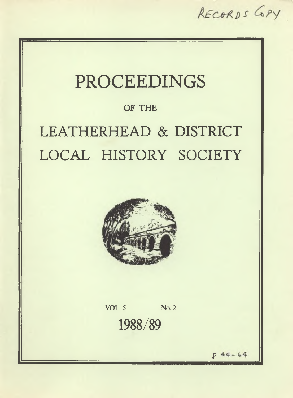RECORDS GPY

## PROCEEDINGS

## **OF THE**

# LEATHERHEAD & DISTRICT LOCAL HISTORY SOCIETY



**VOL. 5 No. 2** 1988/89

> $44 - 64$ *S'*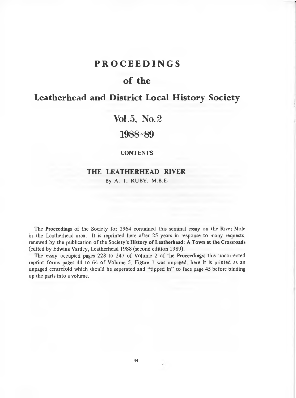## **PROCEEDINGS**

## **o f the**

## **Leatherhead and District Local History Society**

## **Vol.5, No***.2*

## **1988-89**

#### **CONTENTS**

#### **THE LEATHERHEAD RIVER**

By A. T. RUBY, M.B.E.

The **Proceedings** of the Society for 1964 contained this seminal essay on the River Mole in the Leatherhead area. It is reprinted here after 25 years in response to many requests, renewed by the publication of the Society's **History of Leatherhead: A Town at the Crossroads** (edited by Edwina Vardey, Leatherhead 1988 (second edition 1989).

The essay occupied pages 228 to 247 of Volume 2 of the **Proceedings**; this uncorrected reprint forms pages 44 to 64 of Volume 5. Figure 1 was unpaged; here it is printed as an unpaged centrefold which should be seperated and "tipped in" to face page 45 before binding up the parts into a volume.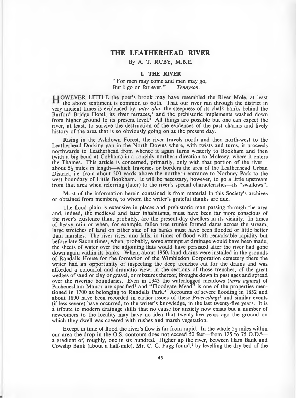#### **THE LEATHERHEAD RTVER**

#### By A. T. RUBY, M.B.E.

#### **1. THE RIVER**

#### " For men may come and men may go, But I go on for ever." *Tennyson.*

HOWEVER LITTLE the poet's brook may have resembled the River Mole, at least the above sentiment is common to both. That our river ran through the district in very ancient times is evidenced by, *inter alia,* the steepness of its chalk banks behind the Burford Bridge Hotel, its river terraces,<sup>1</sup> and the prehistoric implements washed down from higher ground to its present level.<sup>2</sup> All things are possible but one can expect the river, at least, to survive the destruction of the evidences of the past charms and lively history of the area that is so obviously going on at the present day.

Rising in the Ashdown Forest, the river travels north and then north-west to the Leatherhead-Dorking gap in the North Downs where, with twists and turns, it proceeds northwards to Leatherhead from whence it again turns westerly to Bookham and then (with a big bend at Cobham) in a roughly northern direction to Molesey, where it enters the Thames. This article is concerned, primarily, only with that portion of the river about  $5\frac{1}{2}$  miles in length—which traverses or borders the area of the Leatherhead Urban District, i.e. from about 200 yards above the northern entrance to Norbury Park to the west boundary of Little Bookham. It will be necessary, however, to go a little upstream from that area when referring (later) to the river's special characteristics—its "swallows".

Most of the information herein contained is from material in this Society's archives or obtained from members, to whom the w riter's grateful thanks are due.

The flood plain is extensive in places and prehistoric man passing through the area and, indeed, the medieval and later inhabitants, must have been far more conscious of the river's existence than, probably, are the present-day dwellers in its vicinity. In times of heavy rain or when, for example, fallen tree trunks formed dams across the stream, large stretches of land on either side of its banks must have been flooded or little better than marshes. The river rises, and falls, in times of flood with remarkable rapidity but before late Saxon times, when, probably, some attempt at drainage would have been made, the sheets of water over the adjoining flats would have persisted after the river had gone down again within its banks. When, about 1950, land drains were installed in the grounds of Randalls House for the form ation of the W imbledon C orporation cemetery there the writer had an opportunity of inspecting the deep trenches cut for, the drains and was afforded a colourful and dram atic view, in the sections of those trenches, of the great wedges of sand or clay or gravel, or mixtures thereof, brought down in past ages and spread over the riverine boundaries. Even in 1343 the waterlogged meadows *(terra aquosa)* of Pachenesham Manor are specified<sup>3</sup> and "Floodgate Mead" is one of the properties mentioned in 1700 as belonging to Randalls Park.4 Accounts of severe flooding in 1852 and about 1890 have been recorded in earlier issues of these *Proceedings*<sup>5</sup> and similar events (if less severe) have occurred, to the writer's knowledge, in the last twenty-five years. It is a tribute to modern drainage skills that no cause for anxiety now exists but a number of newcomers to the locality may have no idea that twenty-five years ago the ground on which they dwell was covered with rushes and marsh vegetation.

Except in time of flood the river's flow is far from rapid. In the whole  $5\frac{1}{2}$  miles within our area the drop in the O.S. contours does not exceed 50 feet—from 125 to 75 O.D.<sup>6</sup> a gradient of, roughly, one in six hundred. Higher up the river, between Ham Bank and Cowslip Bank (about a half-mile), Mr. C. C. Fagg found,<sup>7</sup> by levelling the dry bed of the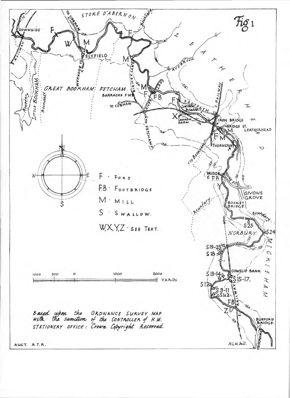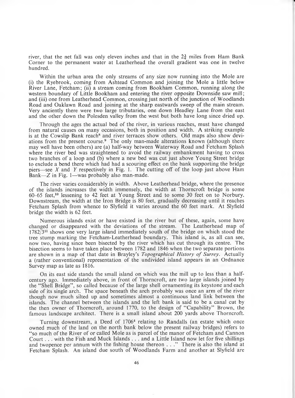river, that the net fall was only eleven inches and that in the  $2\frac{3}{4}$  miles from Ham Bank Corner to the permanent water at Leatherhead the overall gradient was one in twelve hundred.

Within the urban area the only streams of any size now running into the Mole are (i) the Ryebrook, coming from Ashtead Common and joining the Mole a little below River Lane, Fetcham; (ii) a stream coming from Bookham Common, running along the western boundary of Little Bookham and entering the river opposite Downside saw mill; and (iii) one from Leatherhead Common, crossing just north of the junction of Woodlands Road and Oaklawn Road and joining at the sharp eastwards sweep of the main stream. Very anciently there were two large tributaries, one down Headley Lane from the east and the other down the Polesden valley from the west but both have long since dried up.

Through the ages the actual bed of the river, in various reaches, must have changed from natural causes on many occasions, both in position and width. A striking example is at the Cowslip Bank reach<sup>8</sup> and river terraces show others. Old maps also show deviations from the present course.<sup>9</sup> The only man-made alterations known (although there may well have been others) are (a) half-way between Waterway Road and Fetcham Splash where the river bed was straightened to avoid the railway embankment having to cross two branches of a loop and (b) where a new bed was cut just above Young Street bridge to exclude a bend there which had had a scouring effect on the bank supporting the bridge piers—see *X* and *Y* respectively in Fig. 1. The cutting off of the loop just above Ham Bank—Z in Fig. 1—was probably also man-made.

The river varies considerably in width. Above Leatherhead bridge, where the presence of the islands increases the width immensely, the width at Thorncroft bridge is some 60-65 feet,10 lessening to 42 feet at Young Street and to some 30 feet on to Norbury. Downstream, the width at the Iron Bridge is 80 feet, gradually decreasing until it reaches Fetcham Splash from whence to Slyfield it varies around the 60 feet mark. At Slyfield bridge the width is 62 feet.

Numerous islands exist or have existed in the river but of these, again, some have changed or disappeared with the deviations of the stream. The Leatherhead map of 1782/311 shows one very large island immediately south of the bridge on which stood the tree stump marking the Fetcham -Leatherhead boundary. This island is, as all can see, now two, having since been bisected by the river which has cut through its centre. The bisection seems to have taken place between 1782 and 1846 when the two separate portions are shown in a map of that date in Brayley's *Topographical History of Surrey*. Actually a (rather conventional) representation of the undivided island appears in an Ordnance Survey map as late as 1816.

On its east side stands the small island on which was the mill up to less than a halfcentury ago. Immediately above, in front of Thorncroft, are two large islands joined by the " Shell Bridge" , so called because of the large shell ornamenting its keystone and each side of its single arch. The space beneath the arch probably was once an arm of the river though now much silted up and sometimes almost a continuous land link between the islands. The channel between the islands and the left bank is said to be a canal cut by the then owner of Thorncroft, around 1770, to the design of "Capability" Brown, the famous landscape architect. There is a small island about 200 yards above Thorncroft.

Turning downstream, a Deed of 17064 relating to Randalls (an estate which once owned much of the land on the north bank below the present railway bridges) refers to "so much of the River of or called Mole as is parcel of the manor of Fetcham and Cannon Court... with the Fish and Muck Islands ... and a Little Island now let for five shillings and twopence per annum with the fishing house thereon . . ." There is also the island at Fetcham Splash. An island due south of Woodlands Farm and another at Slyfield are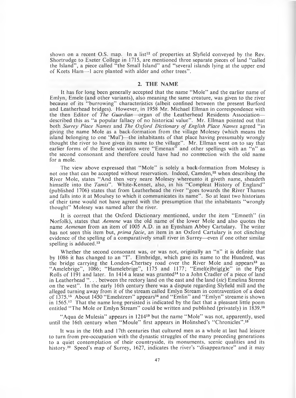shown on a recent O.S. map. In a list<sup>12</sup> of properties at Slyfield conveyed by the Rev. Shortrudge to Exeter College in 1715, are mentioned three separate pieces of land "called the Island", a piece called  $\frac{1}{1}$  the Small Island" and "several islands lying at the upper end of Keets Ham—1 acre planted with alder and other trees".

#### **2. THE NAME**

It has for long been generally accepted that the name "Mole" and the earlier name of Emlyn, Emele (and other variants), also meaning the same creature, was given to the river because of its " burrowing" characteristics (albeit confined between the present Burford and Leatherhead bridges). However, in 1958 Mr. Michael Ellman in correspondence with the then Editor of *The Guardian*—organ of the Leatherhead Residents Association described this as "a popular fallacy of no historical value". Mr. Ellman pointed out that both *Surrey Place Names* and *The Oxford Dictionary of English Place Names* agreed "in giving the name Mole as a back-formation from the village Molesey (which means the island belonging to one 'Mul')—the inhabitants of that place having presumably wrongly thought the river to have given its name to the village". Mr. Ellman went on to say that earlier forms of the Emele variants were "Emenan" and other spellings with an "n" as the second consonant and therefore could have had no connection with the old name for a mole.

The view above expressed that "Mole" is solely a back-formation from Molesey is not one that can be accepted without reservation. Indeed, Camden,<sup>22</sup> when describing the River Mole, states " And then very neare Molesey whereunto it giveth name, sheadeth himselfe into the *Tamis*". White-Kennet, also, in his "Compleat History of England" (published 1706) states that from Leatherhead the river " goes towards the River Thames and falls into it at Moulsey to which it communicates its name" . So at least two historians of their time would not have agreed with the presumption that the inhabitants "wrongly thought" Molesey was named after the river.

It is correct that the Oxford Dictionary mentioned, under the item "Emneth" (in Norfolk), states that *Aemene* was the old name of the lower Mole and also quotes the name *Aemenan* from an item of 1005 A.D. in an Eynsham Abbey Cartulary. The writer has not seen this item but, *prima facie,* an item in an Oxford Cartulary is not clinching evidence of the spelling of a comparatively small river in Surrey—even if one other similar spelling is adduced.<sup>13</sup>

Whether the second consonant was, or was not, originally an "n" it is definite that by 1086 it has changed to an "I". Elmbridge, which gave its name to the Hundred, was the bridge carrying the London-Chertsey road over the River Mole and appears<sup>13</sup> as " Amelebrige" , 1086; " Hamelebrige" , 1175 and 1177; " Emel(e)brig(g)e" in the Pipe Rolls of 1191 and later. In 1414 a lease was granted<sup>14</sup> to a John Cradler of a piece of land in Leatherhead "... between the rectory land on the east and the land *(sic)* Emelina Streme on the west" . In the early 16th century there was a dispute regarding Slyfield mill and the alleged turning away from it of the stream called Emlyn Stream in contravention of a deed of 1375.<sup>15</sup> About 1450 "Emelstrem" appears<sup>16</sup> and "Emlin" and "Emlyn" streame is shown in 1565.17 That the name long persisted is indicated by the fact that a pleasant little poem entitled "The Mole or Emlyn Stream" could be written and published (privately) in 1839.<sup>18</sup>

"A qua de Mulesia" appears in  $1214^{19}$  but the name "Mole" was not, apparently, used until the 16th century when "Moule" first appears in Holinshed's "Chronicles".<sup>13</sup>

It was in the 16th and 17th centuries that cultured men as a whole at last had leisure to turn from pre-occupation with the dynastic struggles of the many preceding generations to a quiet contemplation of their countryside, its monuments, scenic qualities and its history.<sup>20</sup> Speed's map of Surrey, 1627, indicates the river's "disappearance" and it may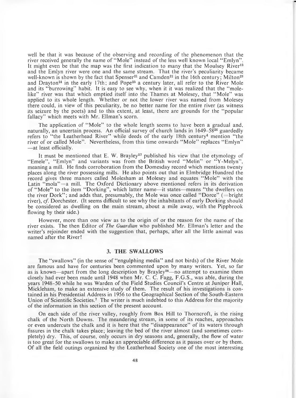well be that it was because of the observing and recording of the phenomenon that the river received generally the name of "Mole" instead of the less well known local "Emlyn". It might even be that the map was the first indication to many that the Moulsey River<sup>13</sup> and the Emlyn river were one and the same stream. That the river's peculiarity became well-known is shown by the fact that Spenser<sup>21</sup> and Camden<sup>22</sup> in the 16th century; Milton<sup>23</sup> and Drayton<sup>24</sup> in the early 17th; and Pope<sup>25</sup> a century later, all refer to the River Mole and its "burrowing" habit. It is easy to see why, when it it was realized that the "molelike" river was that which emptied itself into the Thames at Molesey, that "Mole" was applied to its whole length. W hether or not the lower river was named from Molesey there could, in view of this peculiarity, be no better name for the entire river (as witness its seizure by the poets) and to this extent, at least, there are grounds for the " popular fallacy" which meets with Mr. Ellman's scorn.

The application of "Mole" to the whole length seems to have been a gradual and, naturally, an uncertain process. An official survey of church lands in 1649-5826 guardedly refers to "the Leatherhead River" while deeds of the early 18th century<sup>4</sup> mention "the river of or called Mole". Nevertheless, from this time onwards "Mole" replaces "Emlyn" —at least officially.

It must be mentioned that E. W. Brayley<sup>27</sup> published his view that the etymology of "Emele", "Emlyn" and variants was from the British word "Melin" or "Y-Melyn", meaning a mill. He finds corroboration from the Domesday record which mentions twenty places along the river possessing mills. He also points out that in Elmbridge Hundred the record gives three manors called Molesham at Molesey and equates "Mole" with the Latin "mola" = a mill. The Oxford Dictionary above mentioned refers in its derivation of "Mole" to the item "Dorking", which latter name—it states—means "the dwellers on the river Dork"; and adds that, presumably, the Mole was once called "Dorce" ( $=$ bright river), *cf.* Dorchester. (It seems difficult to see why the inhabitants of early Dorking should be considered as dwelling on the main stream, about a mile away, with the Pippbrook flowing by their side.)

However, more than one view as to the origin of or the reason for the name of the river exists. The then Editor of *The Guardian* who published Mr. Ellman's letter and the writer's rejoinder ended with the suggestion that, perhaps, after all the little animal was named after the River!

#### **3. THE SWALLOWS**

The "swallows" (in the sense of "engulphing media" and not birds) of the River Mole are famous and have for centuries been commented upon by many writers. Yet, so far as is known—apart from the long description by Brayley<sup>28</sup>—no attempt to examine them closely had ever been made until 1948 when Mr. C. C. Fagg, F.G.S., was able, during the years 1948-50 while he was Warden of the Field Studies Council's Centre at Juniper Hall, Mickleham, to make an extensive study of them. The result of his investigations is contained in his Presidential Address in 1956 to the Geographical Section of the South-Eastern Union of Scientific Societies.7 The writer is much indebted to this Address for the majority of the information in this section of the present account.

On each side of the river valley, roughly from Box Hill to Thorncroft, is the rising chalk of the North Downs. The meandering stream, in some of its reaches, approaches or even undercuts the chalk and it is here that the " disappearance" of its waters through fissures in the chalk takes place; leaving the bed of the river almost (and sometimes completely) dry. This, of course, only occurs in dry seasons and, generally, the flow of water is too great for the swallows to make an appreciable difference as it passes over or by them. Of all the field outings organized by the Leatherhead Society one of the most interesting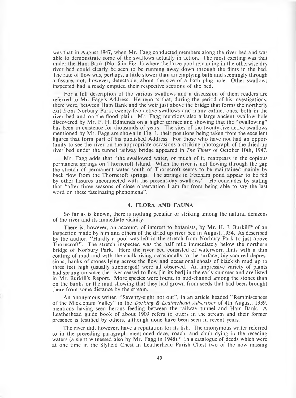was that in August 1947, when Mr. Fagg conducted members along the river bed and was able to dem onstrate some of the swallows actually in action. The most exciting was that under the Ham Bank (No. 5 in Fig. 1) where the large pool remaining in the otherwise dry river bed could clearly be seen to be running away down through the flints in the bed. The rate of flow was, perhaps, a little slower than an emptying bath and seemingly through a fissure, not, however, detectable, about the size of a bath plug hole. Other swallows inspected had already emptied their respective sections of the bed.

For a full description of the various swallows and a discussion of them readers are referred to Mr. Fagg's Address. He reports that, during the period of his investigations, there were, between Ham Bank and the weir just above the bridge that forms the northerly exit from Norbury Park, twenty-five active swallows and many extinct ones, both in the river bed and on the flood plain. Mr. Fagg mentions also a large ancient swallow hole discovered by Mr. F. H. Edmunds on a higher terrace and showing that the "swallowing" has been in existence for thousands of years. The sites of the twenty-five active swallows mentioned by Mr. Fagg are shown in Fig. 1, their positions being taken from the excellent figures that form part of his published Address. For those who have not had an opportunity to see the river on the appropriate occasions a striking photograph of the dried-up river bed under the tunnel railway bridge appeared in *The Times* of October 10th, 1947.

Mr. Fagg adds that "the swallowed water, or much of it, reappears in the copious perm anent springs on Thorncroft Island. When the river is not flowing through the gap the stretch of perm anent water south of Thorncroft seems to be maintained mainly by back flow from the Thorncroft springs. The springs in Fetcham pond appear to be fed by other fissures unconnected with the present-day swallows" . He concludes by stating that "after three seasons of close observation I am far from being able to say the last word on these fascinating phenomena".

#### **4. FLORA AND FAUNA**

So far as is known, there is nothing peculiar or striking among the natural denizens of the river and its immediate vicinity.

There is, however, an account, of interest to botanists, by Mr. H. J. Burkill<sup>29</sup> of an inspection made by him and others of the dried up river bed in August, 1934. As described by the author, "Hardly a pool was left in the stretch from Norbury Park to just above Thorncroft" . The stretch inspected was the half mile immediately below the northern bridge of Norbury Park. Here the river bed consisted of waterworn flints with a thin coating of mud and with the chalk rising occasionally to the surface; big scoured depressions, banks of stones lying across the flow and occasional shoals of blackish mud up to three feet high (usually submerged) were all observed. An impressive variety of plants had sprung up since the river ceased to flow [in its bed] in the early summer and are listed in Mr. Burkill's Report. More species were found in mid-channel among the stones than on the banks or the mud showing that they had grown from seeds that had been brought there from some distance by the stream.

An anonymous writer, "Seventy-eight not out", in an article headed "Reminiscences of the Mickleham Valley" in the *Dorking & Leatherhead Advertiser* of 4th August, 1939, mentions having seen herons feeding between the railway tunnel and Ham Bank. A Leatherhead guide book of about 1909 refers to otters in the stream and their former presence is testified by others, although none have been seen in recent years.

The river did, however, have a reputation for its fish. The anonymous writer referred to in the preceding paragraph mentioned dace, roach, and chub dying in the receding waters (a sight witnessed also by Mr. Fagg in 1948).<sup>7</sup> In a catalogue of deeds which were at one time in the Slyfield Chest in Leatherhead Parish Chest two of the now missing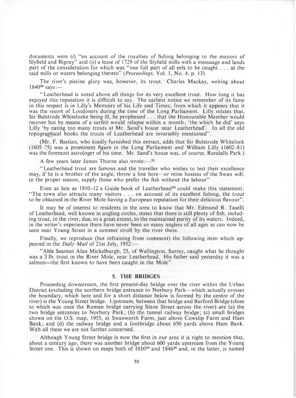documents were (i) "an account of the royalties of fishing belonging to the manors of Slyfield and Bigney" and (ii) a lease of 1729 of the Slyfield mills with a messuage and lands part of the consideration for which was " one full part of all eels to be caught . . . at the said mills or waters belonging thereto" (*Proceedings,* Vol. 1, No. 4, p. 13).

The river's piscine glory was, however, its trout. Charles Mackay, writing about 184030 says:—

" Leatherhead is noted above all things for its very excellent trout. How long it has enjoyed this reputation it is difficult to say. The earliest notice we remember of its fame in this respect is in Lilly's Memoirs of his Life and Times; from which it appears that it was the resort of Londoners during the time of the Long Parliament. Lilly relates that, Sir Bulstrode Whitelocke being ill, he prophesied  $\ldots$  that the Honourable Member would recover but by means of a surfeit would relapse within a month; 'the which he did' says Lilly 'by eating too many trouts at Mr. Sand's house near Leatherhead'. In all the old topographical books the trouts of Leatherhead are invariably mentioned" .

(Mr. F. Bastian, who kindly furnished this extract, adds that Sir Bulstrode Whitelock  $(1605-75)$  was a prominent figure in the Long Parliament and William Lilly  $(1602-81)$ was the foremost astrologer of his time. Mr. Sand's house was, of course, Randalls Park.)

A few years later James Thorne also wrote: $-31$ 

" Leatherhead trout are famous and the traveller who wishes to test their excellence may, if he is a brother of the angle, throw a line here—or mine hostess of the Swan will, in the proper season, supply those who prefer the fish without the labour"

Even as late as  $1910-12$  a Guide book of Leatherhead<sup>32</sup> could make this statement: "The town also attracts many visitors . . . on account of its excellent fishing, the trout to be obtained in the River Mole having a European reputation for their delicious flavour" .

It may be of interest to residents in the area to know that Mr. Edmund R. Taselli of Leatherhead, well known in angling circles, states that there is still plenty of fish, including trout, in the river, due, to a great extent, to the maintained purity of its waters. Indeed, in the writer's experience there have never been so many anglers of all ages as can now be seen near Young Street in a summer stroll by the river there.

Finally, we reproduce (but refraining from comment) the following item which appeared in the *Daily Mail* of 21st July, 1952:-

" Able Seaman Alan Mickelburgh, 25, of Wallington, Surrey, caught what he thought was a 3 lb. trout in the River Mole, near Leatherhead. His father said yesterday it was a salmon—the first known to have been caught in the Mole".

#### **5. THE BRIDGES**

Proceeding downstream, the first present-day bridge over the river within the Urban District (excluding the northern bridge entrance to Norbury Park—which actually crosses the boundary, which here and for a short distance below is formed by the centre of the river) is the Young Street bridge. Upstream, between that bridge and Burford Bridge (close to which was once the Roman bridge carrying Stane Street across the river) are (a) the two bridge entrances to Norbury Park; (b) the tunnel railway bridge; (c) small bridges shown on the O.S. map, 1955, at Swanworth Farm , just above Cowslip Farm and Ham Bank; and (d) the railway bridge and a footbridge about 650 yards above Ham Bank. With all these we are not further concerned.

Although Young Street bridge is now the first in our area it is right to mention that, about a century ago, there was another bridge about 600 yards upstream from the Young Street one. This is shown on maps both of  $1810^{33}$  and  $1846^{34}$  and, in the latter, is named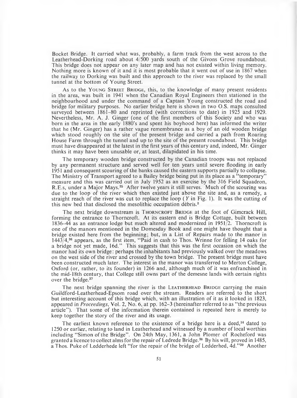Bocket Bridge. It carried what was, probably, a farm track from the west across to the Leatherhead-Dorking road about 4/500 yards south of the Givons Grove roundabout. This bridge does not appear on any later map and has not existed within living memory. Nothing more is known of it and it is most probable that it went out of use in 1867 when the railway to Dorking was built and this approach to the river was replaced by the small tunnel at the bottom of Young Street.

As to the YOUNG STREET BRIDGE, this, to the knowledge of many present residents in the area, was built in 1941 when the Canadian Royal Engineers then stationed in the neighbourhood and under the command of a Captain Young constructed the road and bridge for military purposes. No earlier bridge here is shown in two O.S. maps consulted surveyed between 1861-80 and reprinted (with corrections to date) in 1925 and 1929. Nevertheless, Mr. A. J. Ginger (one of the first members of this Society and who was born in the area in the early 1880's and spent his boyhood here) has informed the writer that he (Mr. Ginger) has a rather vague remembrance as a boy of an old wooden bridge which stood roughly on the site of the present bridge and carried a path from Roaring House Farm through the tunnel and up to the site of the present roundabout. This bridge must have disappeared at the latest in the first years of this century and, indeed, Mr. Ginger thinks it may have been unusable or, at least, dilapidated in his time.

The temporary wooden bridge constructed by the Canadian troops was not replaced by any permanent structure and served well for ten years until severe flooding in early 1951 and consequent scouring of the banks caused the eastern supports partially to collapse. The Ministry of Transport agreed to a Bailey bridge being put in its place as a "temporary" measure and this was carried out in July 1952 as an exercise by the 316 Field Squadron, R.E.s, under a Major Mays.<sup>35</sup> After twelve years it still serves. Much of the scouring was due to the loop of the river which then existed just above the site and, as a remedy, a straight reach of the river was cut to replace the loop (Y in Fig. 1). It was the cutting of this new bed that disclosed the mesolithic occupation debris.2

The next bridge downstream is THORNCROFT BRIDGE at the foot of Gimcrack Hill, forming the entrance to Thorncroft. At its eastern end is Bridge Cottage, built between 1836-44 as an entrance lodge but much altered and modernized in 1951/2. Thorncroft is one of the manors mentioned in the Domesday Book and one might have thought that a bridge existed here from the beginning; but, in a List of Repairs made to the manor in 1443/4,36 appears, as the first item, " Paid in cash to Thos. Wrinne for felling 14 oaks for a bridge not yet made, 16d." This suggests that this was the first occasion on which the m anor had its own bridge: perhaps the inhabitants had previously walked over the meadows on the west side of the river and crossed by the town bridge. The present bridge must have been constructed much later. The interest in the manor was transferred to Merton College, Oxford (or, rather, to its founder) in 1266 and, although much of it was enfranchised in the mid-18th century, that College still owns part of the demesne lands with certain rights over the bridge.37

The next bridge spanning the river is the LEATHERHEAD BRIDGE carrying the main Guildford-Leatherhead-Epsom road over the stream. Readers are referred to the short but interesting account of this bridge which, with an illustration of it as it looked in 1823, appeared in *Proceedings*, Vol. 2, No. 6, at pp. 162-3 (hereinafter referred to as " the previous article"). That some of the information therein contained is repeated here is merely to keep together the story of the river and its usage.

The earliest known reference to the existence of a bridge here is a deed,<sup>14</sup> dated to 1250 or earlier, relating to land in Leatherhead and witnessed by a number of local worthies including "Simon of the Bridge". On 24th May, 1361, a John Plomer of Rocheford was granted a licence to collect alms for the repair of Ledrede Bridge.<sup>38</sup> By his will, proved in 1485, a Thos. Puke of Ledderhede left "for the repair of the bridge of Ledderhed, 4d."39 Another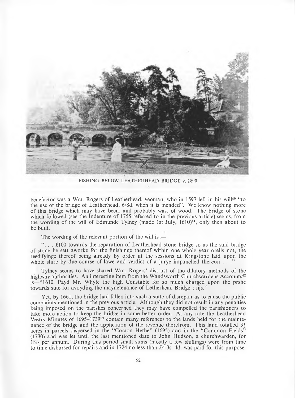

FISHING BELOW LEATHERHEAD BRIDGE *c.* 1890

benefactor was a Wm. Rogers of Leatherhead, yeoman, who in 1597 left in his will<sup>40</sup> "to the use of the bridge of Leatherhead, 6/8d. when it is mended" . We know nothing more of this bridge which may have been, and probably was, of wood. The bridge of stone which followed (see the Indenture of 1755 referred to in the previous article) seems, from the wording of the will of Edmunde Tylney (made 1st July,  $1610)^{41}$ , only then about to be built.

The wording of the relevant portion of the will is:—

 $\ldots$  . . £100 towards the reparation of Leatherhead stone bridge so as the said bridge of stone be sett aworke for the finishinge thereof within one whole year orells not, the reedifyinge thereof being already by order at the sessions at Kingstone laid upon the whole shire by due course of lawe and verdict of a jurye impanelled thereon . . ."

Tylney seems to have shared Wm. Rogers' distrust of the dilatory methods of the highway authorities. An interesting item from the Wandsworth Churchwardens Accounts<sup>42</sup> is—"1610. Payd Mr. Whyte the high Constable for so much charged upon the prshe towards sute for avoyding the maynetenance of Letherhead Bridge : iijs."

Yet, by 1661, the bridge had fallen into such a state of disrepair as to cause the public complaints mentioned in the previous article. Although they did not result in any penalties being imposed on the parishes concerned they may have compelled the parishioners to take more action to keep the bridge in some better order. At any rate the Leatherhead Vestry Minutes of 1695–1739<sup>39</sup> contain many references to the lands held for the maintenance of the bridge and the application of the revenue therefrom. This land totalled  $3\frac{1}{2}$ acres in parcels dispersed in the "Comon Hethe" (1695) and in the "Common Fields" (1730) and was let until the last mentioned date to John Hudson, a churchwarden, for 18/- per annum. During this period small sums (mostly a few shillings) were from time to time disbursed for repairs and in 1724 no less than £4 3s. 4d. was paid for this purpose.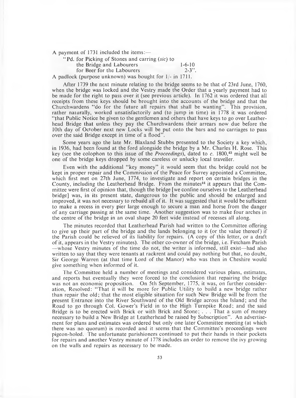A payment of 1731 included the items: $-$ 

" Pd. for Picking of Stones and earring *(sic)* to

the Bridge and Labourers 1-6-10<br>for Beer for the Labourers 2-3". for Beer for the Labourers

A padlock (purpose unknown) was bought for 1/- in 1711.

After 1739 the next minute relating to the bridge seems to be that of 23rd June, 1760, when the bridge was locked and the Vestry made the Order that a yearly payment had to be made for the right to pass over it (see previous article). In 1762 it was ordered that all receipts from these keys should be brought into the accounts of the bridge and that the Churchwardens "do for the future all repairs that shall be wanting". This provision, rather naturally, worked unsatisfactorily and (to jump in time) in 1778 it was ordered " that Public Notice be given to the gentlemen and others that have keys to go over Leatherhead Bridge that unless they pay the Churchwardens their arrears now due before the 10th day of October next new Locks will be put onto the bars and no carriages to pass over the said Bridge except in time of a flood".

Some years ago the late Mr. Blaxland Stubbs presented to the Society a key which, in 1936, had been found at the ford alongside the bridge by a Mr. Charles H. Rose. This key (see the colophon to this issue of the *Proceedings),* dated to c. 1800,43 might well be one of the bridge keys dropped by some careless or unlucky local traveller.

Even with the additional "key money" it would seem that the bridge could not be kept in proper repair and the Commission of the Peace for Surrey appointed a Committee, which first met on 27th June, 1774, to investigate and report on certain bridges in the County, including the Leatherhead Bridge. From the minutes<sup>44</sup> it appears that the Committee were first of opinion that, though the bridge [we confine ourselves to the Leatherhead bridge] was, in its present state, dangerous to the public and should be enlarged and improved, it was not necessary to rebuild all of it. It was suggested that it would be sufficient to make a recess in every pier large enough to secure a man and horse from the danger of any carriage passing at the same time. A nother suggestion was to make four arches in the centre of the bridge in an oval shape 20 feet wide instead of recesses all along.

The minutes recorded that Leatherhead Parish had written to the Committee offering to give up their part of the bridge and the lands belonging to it (or the value thereof) if the Parish could be relieved of its liability for repairs. (A copy of this letter, or a draft of it, appears in the Vestry minutes). The other co-owner of the bridge, i.e. Fetcham Parish —whose Vestry minutes of the time do not, the writer is informed, still exist— had also written to say that they were tenants at rackrent and could pay nothing but that, no doubt, Sir George Warren (at that time Lord of the Manor) who was then in Cheshire would give something when informed of it.

The Committee held a number of meetings and considered various plans, estimates, and reports but eventually they were forced to the conclusion that repairing the bridge was not an economic proposition. On 5th September, 1775, it was, on further consideration, Resolved: " That it will be more for Public Utility to build a new bridge rather than repair the old; that the most eligible situation for such New Bridge will be from the present Entrance into the River Southward of the Old Bridge across the Island; and the Road to go through Col. Gower's Field in to the High Turnpike Road; and the said Bridge is to be erected with Brick or with Brick and Stone; . . . That a sum of money necessary to build a New Bridge at Leatherhead be raised by Subscription". An advertisement for plans and estimates was ordered but only one later Committee meeting (at which there was no quorum) is recorded and it seems that the Committee's proceedings were pigeon-holed. The unfortunate parishioners continued to put their hands in their pockets for repairs and another Vestry minute of 1778 includes an order to remove the ivy growing on the walls and repairs as necessary to be made.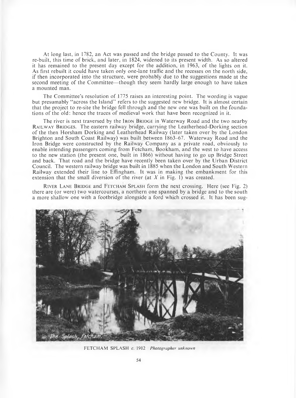At long last, in 1782, an Act was passed and the bridge passed to the County. It was re-built, this time of brick, and later, in 1824, widened to its present width. As so altered it has remained to the present day except for the addition, in 1963, of the lights on it. As first rebuilt it could have taken only one-lane traffic and the recesses on the north side, if then incorporated into the structure, were probably due to the suggestions made at the second meeting of the Committee—though they seem hardly large enough to have taken a mounted man.

The Committee's resolution of 1775 raises an interesting point. The wording is vague but presumably " across the Island" refers to the suggested new bridge. It is almost certain that the project to re-site the bridge fell through and the new one was built on the foundations of the old: hence the traces of medieval work that have been recognized in it.

The river is next traversed by the IRON BRIDGE in Waterway Road and the two nearby RAILWAY BRIDGES. The eastern railway bridge, carrying the Leatherhead-Dorking section of the then Horsham Dorking and Leatherhead Railway (later taken over by the London Brighton and South Coast Railway) was built between 1863-67. Waterway Road and the Iron Bridge were constructed by the Railway Company as a private road, obviously to enable intending passengers coming from Fetcham, Bookham, and the west to have access to the new station (the present one, built in 1866) without having to go up Bridge Street and back. That road and the bridge have recently been taken over by the Urban District Council. The western railway bridge was built in 1885 when the London and South Western Railway extended their line to Effingham. It was in making the embankment for this extension that the small diversion of the river (at *X* in Fig. 1) was created.

RIVER LANE BRIDGE and FETCHAM SPLASH form the next crossing. Here (see Fig. 2) there are (or were) two watercourses, a northern one spanned by a bridge and to the south a more shallow one with a footbridge alongside a ford which crossed it. It has been sug-



FETCHAM SPLASH *c.* 1912 *Photographer unknown*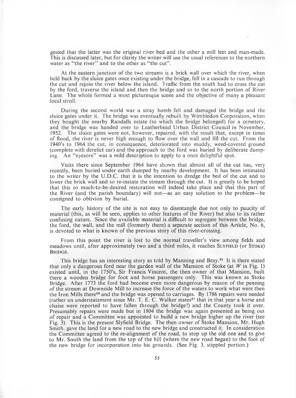gested that the latter was the original river bed and the other a mill leet and man-made. This is discussed later, but for clarity the writer will use the usual references to the northern water as "the river" and to the other as "the cut".

At the eastern junction of the two streams is a brick wall over which the river, when held back by the sluice gates once existing under the bridge, fell in a cascade to run through the cut and rejoin the river below the island. Traffic from the south had to cross the cut by the ford, traverse the island and then the bridge and so to the north portion of River Lane. The whole formed a most picturesque scene and the objective of many a pleasant local stroll.

During the second world war a stray bomb fell and damaged the bridge and the sluice gates under it. The bridge was eventually rebuilt by Wimbledon Corporation, when they bought the nearby Randalls estate (to which the bridge belonged) for a cemetery, and the bridge was handed over to Leatherhead Urban District Council in November, 1952. The sluice gates were not, however, repaired, with the result that, except in times of flood, the river is never high enough to flow over the wall and fill the cut. From the 1940's to 1964 the cut, in consequence, deteriorated into muddy, weed-covered ground (complete with derelict car) and the approach to the ford was buried by deliberate dumping. An "eyesore" was a mild description to apply to a once delightful spot.

Visits there since September 1964 have shown that almost all of the cut has, very recently, been buried under earth dumped by nearby development. It has been intimated to the writer by the U.D.C. that it is the intention to dredge the bed of the cut and to lower the brick wall and so re-instate the stream through the cut. It is greatly to be hoped that this so much-to-be-desired restoration will indeed take place and that this part of the River (and the parish boundary) will not—as an easy solution to the problem—be consigned to oblivion by burial.

The early history of the site is not easy to disentangle due not only to paucity of m aterial (this, as will be seen, applies to other features of the River) but also to its rather confusing nature. Since the available material is difficult to segregate between the bridge, the ford, the wall, and the mill (formerly there) a separate section of this Article, No. 6, is devoted to what is known of the previous story of this river-crossing.

From this point the river is lost to the normal traveller's view among fields and meadows until, after approximately two and a third miles, it reaches SLYFIELD (or STOKE) BRIDGE.

This bridge has an interesting story as told by Manning and Bray. $45$  It is there stated that only a dangerous ford near the garden wall of the Mansion of Stoke (at  $W$  in Fig. 1) existed until, in the 1750's, Sir Francis Vincent, the then owner of that Mansion, built there a wooden bridge for foot and horse passengers only. This was known as Stoke Bridge. After 1773 the ford had become even more dangerous by reason of the penning of the stream at Downside Mill to increase the force of the waters to work what were then the Iron Mills there<sup>46</sup> and the bridge was opened to carriages. By 1786 repairs were needed (rather an understatement since Mr. T. E. C. Walker states<sup>47</sup> that in that year a horse and chaise were reported to have fallen through the bridge!) and the County took it over. Presumably repairs were made but in 1804 the bridge was again presented as being out of repair and a Committee was appointed to build a new bridge higher up the river (see Fig. 3). This is the present Slyfield Bridge. The then owner of Stoke Mansion, Mr. Hugh Smith, gave the land for a new road to the new bridge and constructed it. In consideration the Committee agreed to the re-alignment of the road, to stop up the old one and to give to Mr. Smith the land from the top of the hill (where the new road began) to the foot of the new bridge for incorporation into his grounds. (See Fig. 3, stippled portion.)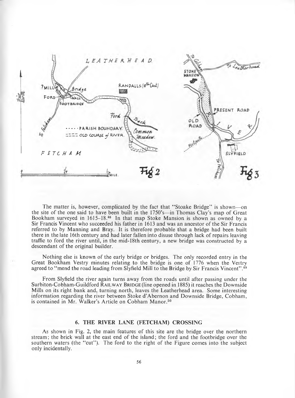

The matter is, however, complicated by the fact that "Stoake Bridge" is shown—on the site of the one said to have been built in the 1750's—in Thomas Clay's map of Great Bookham surveyed in  $1615-18.48$  In that map Stoke Mansion is shown as owned by a Sir Francis Vincent who succeeded his father in 1613 and was an ancestor of the Sir Francis referred to by Manning and Bray. It is therefore probable that a bridge had been built there in the late 16th century and had later fallen into disuse through lack of repairs leaving traffic to ford the river until, in the mid-18th century, a new bridge was constructed by a descendant of the original builder.

Nothing else is known of the early bridge or bridges. The only recorded entry in the Great Bookham Vestry minutes relating to the bridge is one of 1776 when the Vestry agreed to "mend the road leading from Slyfield Mill to the Bridge by Sir Francis Vincent".<sup>49</sup>

From Slyfield the river again turns away from the roads until after passing under the Surbiton-Cobham-Guildford RAILWAY BRIDGE (line opened in 1885) it reaches the Downside Mills on its right bank and, turning north, leaves the Leatherhead area. Some interesting information regarding the river between Stoke d 'Abernon and Downside Bridge, Cobham, is contained in Mr. Walker's Article on Cobham Manor.<sup>50</sup>

#### 6. THE RIVER LANE (FETCHAM) CROSSING

As shown in Fig. 2, the main features of this site are the bridge over the northern stream; the brick wall at the east end of the island; the ford and the footbridge over the southern waters (the "cut"). The ford to the right of the Figure comes into the subject only incidentally.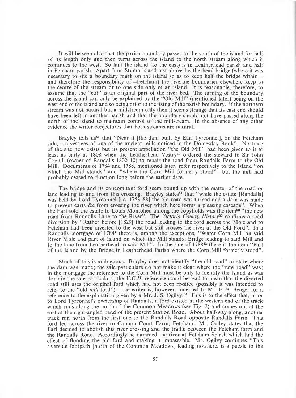It will be seen also that the parish boundary passes to the south of the island for half of its length only and then turns across the island to the north stream along which it continues to the west. So half the island (to the east) is in Leatherhead parish and half in Fetcham parish. A part from Stump Island just above Leatherhead bridge (where it was necessary to site a boundary mark on the island so as to keep half the bridge within and therefore the responsibility of—Fetcham) the riverine boundaries elsewhere keep to the centre of the stream or to one side only of an island. It is reasonable, therefore, to assume that the "cut" is an original part of the river bed. The turning of the boundary across the island can only be explained by the " Old Mill" (mentioned later) being on the west end of the island and so being prior to the fixing of the parish boundary. If the northern stream was not natural but a millstream only then it seems strange that its east end should have been left in another parish and that the boundary should not have passed along the north of the island to maintain control of the millstream. In the absence of any other evidence the writer conjectures that both streams are natural.

Brayley tells us<sup>51</sup> that "Near it [the dam built by Earl Tyrconnel], on the Fetcham side, are vestiges of one of the ancient mills noticed in the Domesday Book". No trace of the site now exists but its present appellation " the Old Mill" had been given to it at least as early as 1808 when the Leatherhead Vestry<sup>39</sup> ordered the steward to Sir John Coghill (owner of Randalls 1802-10) to repair the road from Randalls Farm to the Old Mill. Documents of 1784 and 1788, mentioned later, refer respectively to the Island " on which the Mill stands" and "where the Corn Mill formerly stood"—but the mill had probably ceased to function long before the earlier date.

The bridge and its concomitant ford seem bound up with the matter of the road or lane leading to and from this crossing. Brayley states<sup>51</sup> that "while the estate [Randalls] was held by Lord Tyrconnel [i.e. 1753-88] the old road was turned and a dam was made to prevent carts &c from crossing the river which here forms a pleasing cascade" . When the Earl sold the estate to Louis Montolieu among the copyholds was the item<sup>52</sup> "the new road from Randalls Lane to the River". The Victoria County History<sup>53</sup> confirms a road diversion by " Rather before [1829] the road leading to the ford across the Mole and to Fetcham had been diverted to the west but still crosses the river at the Old Ford". In a Randalls mortgage of 1784<sup>4</sup> there is, among the exceptions, "Water Corn Mill on said River Mole and part of Island on which the Mill stands; Bridge leading to said Mill and to the lane from Leatherhead to said Mill". In the sale of 1788<sup>52</sup> there is the item "Part of the Island by the Bridge in Leatherhead Parish where the Corn Mill formerly stood" .

Much of this is ambiguous. Brayley does not identify "the old road" or state where the dam was made; the sale particulars do not make it clear where the "new road" was; in the mortgage the reference to the Corn Mill must be only to identify the Island as was done in the sale particulars; the *V.C.H.* reference could be read to mean that the diverted road still uses the original ford which had not been re-sited (possibly it was intended to refer to the "old *mill* ford"). The writer is, however, indebted to Mr. F. B. Benger for a reference to the explanation given by a Mr. J. S. Ogilvy.<sup>54</sup> This is to the effect that, prior to Lord Tyrconnel's ownership of Randalls, a ford existed at the western end of the track which runs along the north of the Common Meadows (see Fig. 2) and comes out at the east at the right-angled bend of the present Station Road. About half-way along, another track ran north from the first one to the Randalls Road opposite Randalls Farm. This ford led across the river to Cannon Court Farm, Fetcham. Mr. Ogilvy states that the Earl decided to abolish this river crossing and the traffic between the Fetcham farm and the Randalls Road. Accordingly he dammed the river at Fetcham Splash which had the effect of flooding the old ford and making it impassable. Mr. Ogilvy continues " This riverside footpath [north of the Common Meadows] leading nowhere, is a puzzle to the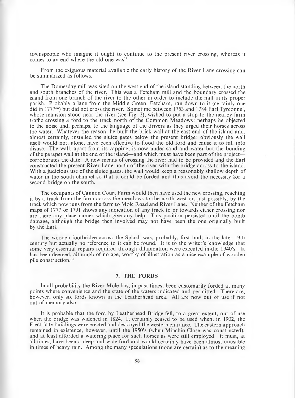townspeople who imagine it ought to continue to the present river crossing, whereas it comes to an end where the old one was".

From the exiguous material available the early history of the River Lane crossing can be summarized as follows.

The Domesday mill was sited on the west end of the island standing between the north and south branches of the river. This was a Fetcham mill and the boundary crossed the island from one branch of the river to the other in order to include the mill in its proper parish. Probably a lane from the Middle Green, Fetcham , ran down to it (certainly one did in 1777<sup>55</sup>) but did not cross the river. Sometime between 1753 and 1784 Earl Tyrconnel, whose mansion stood near the river (see Fig. 2), wished to put a stop to the nearby farm traffic crossing a ford to the track north of the Common Meadows: perhaps he objected to the noise and, perhaps, to the language of the drivers as they urged their horses across the water. W hatever the reason, he built the brick wall at the east end of the island and, almost certainly, installed the sluice gates below the present bridge; obviously the wall itself would not, alone, have been effective to flood the old ford and cause it to fall into disuse. The wall, apart from its capping, is now under sand and water but the bonding of the parapet wall at the end of the island—and which must have been part of the project corroborates the date. A new means of crossing the river had to be provided and the Earl constructed the present River Lane north of the river with the bridge across to the island. With a judicious use of the sluice gates, the wall would keep a reasonably shallow depth of water in the south channel so that it could be forded and thus, avoid the necessity for a second bridge on the south.

The occupants of Cannon Court Farm would then have used the new crossing, reaching it by a track from the farm across the meadows to the north-west or, just possibly, by the track which now runs from the farm to Mole Road and River Lane. Neither of the Fetcham maps of 1777 or 1791 shows any indication of any track to or towards either crossing nor are there any place names which give any help. This position persisted until the bomb damage, although the bridge then involved may not have been the one originally built by the Earl.

The wooden footbridge across the Splash was, probably, first built in the later 19th century but actually no reference to it can be found. It is to the writer's knowledge that some very essential repairs required through dilapidation were executed in-the 1940's. It has been deemed, although of no age, worthy of illustration as a nice example of wooden pile construction.69

#### **7, THE FORDS**

In all probability the River Mole has, in past times, been customarily forded at many points where convenience and the state of the waters indicated and permitted. There are, however, only six fords known in the Leatherhead area. All are now out of use if not out of memory also.

It is probable that the ford by Leatherhead Bridge fell, to a great extent, out of use when the bridge was widened in 1824. It certainly ceased to be used when, in 1902, the Electricity buildings were erected and destroyed the western entrance. The eastern approach remained in existence, however, until the 1950's (when Minchin Close was constructed), and at least afforded a watering place for such horses as were still employed. It must, at all times, have been a deep and wide ford and would certainly have been almost unusable in times of heavy rain. Among the many speculations (none are certain) as to the meaning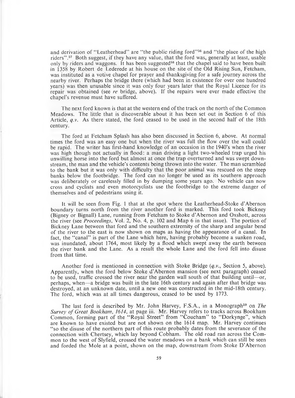and derivation of "Leatherhead" are "the public riding ford"<sup>56</sup> and "the place of the high riders".<sup>57</sup> Both suggest, if they have any value, that the ford was, generally at least, usable only by riders and waggons. It has been suggested<sup>58</sup> that the chapel said to have been built in 1358 by Robert de Lederede at his house on the site of the Old Rising Sun, Fetcham, was instituted as a votive chapel for prayer and thanksgiving for a safe journey across the nearby river. Perhaps the bridge there (which had been in existence for over one hundred years) was then unusable since it was only four years later that the Royal Licence for its repair was obtained (see *re* bridge, above). If the repairs were ever made effective the chapel's revenue must have suffered.

The next ford known is that at the western end of the track on the north of the Common Meadows. The little that is discoverable about it has been set out in Section 6 of this Article, *q.v.* As there stated, the ford ceased to be used in the second half of the 18th century.

The ford at Fetcham Splash has also been discussed in Section 6, above. At normal times the, ford was an easy one but when the river was full the flow over the wall could be rapid. The writer has first-hand knowledge of an occasion in the 1940's when the river was high though not actually in flood: a man driving a light two-wheeled trap urged his unwilling horse into the ford but almost at once the trap overturned and was swept downstream, the man and the vehicle's contents being thrown into the water. The man scrambled to the bank but it was only with difficulty that the poor animal was rescued on the steep banks below the footbridge. The ford can no longer be used as its southern approach was deliberately or carelessly filled in by dumping some years ago. No vehicle can now cross and cyclists and even motorcyclists use the footbridge to the extreme danger of themselves and of pedestrians using it.

It will be seen from Fig. 1 that at the spot where the Leatherhead-Stoke d'Abernon boundary turns north from the river another ford is marked. This ford took Bickney (Bigney or Bignall) Lane, running from Fetcham to Stoke d'Abernon and Oxshott, across the river (see *Proceedings*, Vol. 2, No. 4, p. 102 and Map 6 in that issue). The portion of Bickney Lane between that ford and the southern extremity of the sharp and angular bend of the river to the east is now shown on maps as having the appearance of a canal. In fact, the "canal" is part of the Lane which here, having probably become a sunken road, was inundated, about 1764, most likely by a flood which swept away the earth between the river bank and the Lane. As a result the whole Lane and the ford fell into disuse from that time.

A nother ford is mentioned in connection with Stoke Bridge *(q.v.,* Section 5, above). Apparently, when the ford below Stoke d'Abernon mansion (see next paragraph) ceased to be used, traffic crossed the river near the garden wall south of that building until—or, perhaps, when—a bridge was built in the late 16th century and again after that bridge was destroyed, at an unknown date, until a new one was constructed in the mid-18th century. The ford, which was at all times dangerous, ceased to be used by 1773.

The last ford is described by Mr. John Harvey, F.S.A., in a Monograph<sup>59</sup> on *The Survey of Great Bookham, 1614, at page iii. Mr. Harvey refers to tracks across Bookham* Common, forming part of the "Royal Street" from "Coucham" to "Dorkynge", which are known to have existed but are not shown on the 1614 map. Mr. Harvey continues " so the disuse of the northern part of this route probably dates from the severance of the connection with Chertsey, which lay beyond Cobham. The old road ran across the Common to the west of Slyfield, crossed the water meadows on a bank which can still be seen and forded the Mole at a point, shown on the map, downstream from Stoke D 'Abernon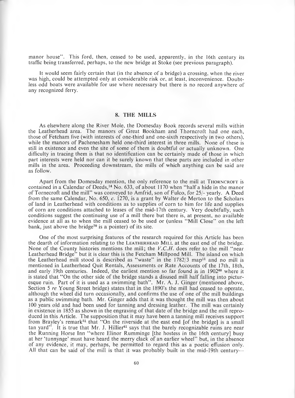manor house". This ford, then, ceased to be used, apparently, in the 16th century its traffic being transferred, perhaps, to the new bridge at Stoke (see previous paragraph).

It would seem fairly certain that (in the absence of a bridge) a crossing, when the river was high, could be attempted only at considerable risk or, at least, inconvenience. Doubtless odd boats were available for use where necessary but there is no record anywhere of any recognized ferry.

#### 8. THE MILLS

As elsewhere along the River Mole, the Domesday Book records several mills within the Leatherhead area. The manors of Great Bookham and Thorncroft had one each, those of Fetcham five (with interests of one-third and one-sixth respectively in two others), while the manors of Pachenesham held one-third interest in three mills. None of these is still in existence and even the site of some of them is doubtful or actually unknown. One difficulty in tracing them is that no identification can be certainly made of those in which part interests were held nor can it be surely known that these parts are included in other mills in the area. Proceeding downstream, the mills of which anything can be said are as follow.

Apart from the Domesday mention, the only reference to the mill at THORNCROFT is contained in a Calendar of Deeds, $<sup>14</sup>$  No. 633, of about 1170 when "half a hide in the manor</sup> of Tornecroft and the mill" was conveyed to Amfrid, son of Fulco, for 25/- yearly. A Deed from the same Calendar, No. 650, *c.* 1270, is a grant by Walter de Merton to the Scholars of land in Leatherhead with conditions as to supplies of corn to him for life and supplies of corn are conditions attached to leases of the mid-17th century. Very doubtfully, such conditions suggest the continuing use of a mill there but there is, at present, no available evidence at all as to when the mill ceased to be used or (unless " Mill Close" on the left bank, just above the bridge<sup>70</sup> is a pointer) of its site.

One of the most surprising features of the research required for this Article has been the dearth of information relating to the LEATHERHEAD MILL at the east end of the bridge. None of the County histories mentions the mill; the V.C.H. does refer to the mill "near Leatherhead Bridge" but it is clear this is the Fetcham Millpond Mill. The island on which the Leatherhead mill stood is described as "waste" in the 1782/3 map<sup>11</sup> and no mill is mentioned in Leatherhead Quit Rentals, Assessments or Rate Accounts of the 17th, 18th, and early 19th centuries. Indeed, the earliest mention so far found is in 1902<sup>60</sup> where it is stated that "On the other side of the bridge stands a disused mill half falling into picturesque ruin. Part of it is used as a swimming bath". Mr. A. J. Ginger (mentioned above, Section 5 *re* Young Street bridge) states that in the 1890's the mill had ceased to operate, although the wheel did turn occasionally, and confirms the use of one of the mill buildings as a public swimming bath. Mr. Ginger adds that it was thought the mill was then about 100 years old and had been used for tanning and dressing leather. The mill was certainly in existence in 1855 as shown in the engraving of that date of the bridge and the mill reproduced in this Article. The supposition that it may have been a tanning mill receives support from Brayley's remark<sup>51</sup> that "On the riverside at the east end [of the bridge] is a small tan yard". It is true that Mr. J. Hillier<sup>61</sup> says that the barely recognizable ruins are near the Running Horse Inn " where Elinor Rumminge [the hostess in the 16th century] busy at her 'tunnynge' must have heard the merry clack of an earlier wheel" but, in the absence of any evidence, it may, perhaps, be permitted to regard this as a poetic effusion only. All that can be said of the mill is that it was probably built in the mid-19th century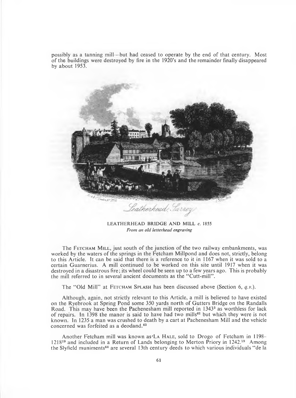possibly as a tanning mill—but had ceased to operate by the end of that century. Most of the buildings were destroyed by fire in the 1920's and the remainder finally disappeared by about 1953.



LEATHERHEAD BRIDGE AND MILL **c.** 1855 *From an old letterhead engraving*

The FETCHAM MILL, just south of the junction of the two railway embankments, was worked by the waters of the springs in the Fetcham Millpond and does not, strictly, belong to this Article. It can be said that there is a reference to it in 1167 when it was sold to a certain Guarnerius. A mill continued to be worked on this site until 1917 when it was destroyed in a disastrous fire; its wheel could be seen up to a few years ago. This is probably the mill referred to in several ancient documents as the "Cutt-mill".

The "Old Mill" at FETCHAM SPLASH has been discussed above (Section 6, *q.v.*).

Although, again, not strictly relevant to this Article, a mill is believed to have existed on the Ryebrook at Spring Pond some 350 yards north of Gutters Bridge on the Randalls Road. This may have been the Pachenesham mill reported in  $1343^3$  as worthless for lack of repairs. In 1398 the manor is said to have had two mills<sup>62</sup> but which they were is not known. In 1235 a man was crushed to death by a cart at Pachenesham Mill and the vehicle concerned was forfeited as a deodand.<sup>63</sup>

Another Fetcham mill was known as 'La HALE, sold to Drogo of Fetcham in 1198–  $1218^{19}$  and included in a Return of Lands belonging to Merton Priory in  $1242.^{19}$  Among the Slyfield muniments<sup>64</sup> are several 13th century deeds to which various individuals "de la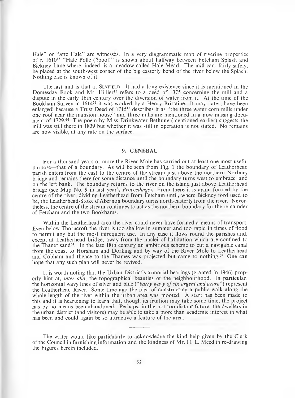Hale" or "atte Hale" are witnesses. In a very diagrammatic map of riverine properties of *c.* 161065 " Hale Polle (?pool)" is shown about halfway between Fetcham Splash and Bickney Lane where, indeed, is a meadow called Hale Mead. The mill can, fairly safely, be placed at the south-west corner of the big easterly bend of the river below the Splash. Nothing else is known of it.

The last mill is that at SLYFIELD. It had a long existence since it is mentioned in the Domesday Book and Mr. Hillier<sup>15</sup> refers to a deed of 1375 concerning the mill and a dispute in the early 16th century over the diversion of water from it. At the time of the Bookham Survey in 161459 it was worked by a Henry Brittaine. It may, later, have been enlarged; because a Trust Deed of 1715<sup>12</sup> describes it as "the three water corn mills under one roof near the mansion house" and three mills are mentioned in a now missing document of 1729.66 The poem by Miss Drinkwater Bethune (mentioned earlier) suggests the mill was still there in 1839 but whether it was still in operation is not stated. No remains are now visible, at any rate on the surface.

#### 9. GENERAL

For a thousand years or more the River Mole has carried out at least one most useful purpose—that of a boundary. As will be seen from Fig. 1 the boundary of Leatherhead parish enters from the east to the centre of the stream just above the northern Norbury bridge and remains there for some distance until the boundary turns west to embrace land on the left bank. The boundary returns to the river on the island just above Leatherhead bridge (see Map No. 9 in last year's *Proceedings*). From there it is again formed by the centre of the river, dividing Leatherhead from Fetcham until, where Bickney ford used to be, the Leatherhead-Stoke d'Abernon boundary turns north-easterly from the river. Nevertheless, the centre of the stream continues to act as the northern boundary for the remainder of Fetcham and the two Bookhams.

Within the Leatherhead area the river could never have formed a means of transport. Even below Thorncroft the river is too shallow in summer and too rapid in times of flood to permit any but the most infrequent use. In any case it flows round the parishes and, except at Leatherhead bridge, away from the nuclei of habitation which are confined to the Thanet sand<sup>67</sup>. In the late 18th century an ambitious scheme to cut a navigable canal from the coast to Horsham and Dorking and by way of the River Mole to Leatherhead and Cobham and thence to the Thames was projected but came to nothing.<sup>68</sup> One can hope that any such plan will never be revived.

It is worth noting that the Urban District's armorial bearings (granted in 1946) properly hint at, *inter alia,* the topographical beauties of the neighbourhood. In particular, the horizontal wavy lines of silver and blue *("barry wavy of six argent and azure"*) represent the Leatherhead River. Some time ago the idea of constructing a public walk along the whole length of the river within the urban area was mooted. A start has been made to this and it is heartening to learn that, though its fruition may take some time, the project has by no means been abandoned. Perhaps, in the not too distant future, the dwellers in the urban district (and visitors) may be able to take a more than academic interest in what has been and could again be so attractive a feature of the area.

The writer would like particularly to acknowledge the kind help given by the Clerk of the Council in furnishing information and the kindness of Mr. H. L. Meed in re-drawing the Figures herein included.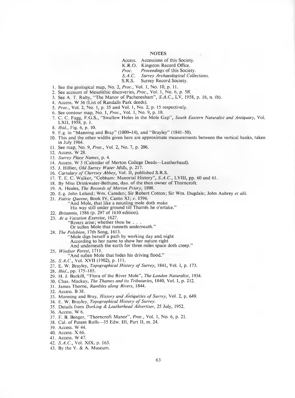#### **NOTES**

- Access. Accessions of this Society.
- K.R.O. Kingston Record Office.<br>Proc. Proceedings of this Socie
- *Proc. Proceedings* of this Society.
- **Surrey Archaeological Collections.**
- S.R.S. Surrey Record Society.
- 1. See the geological map, No. 2, *Proc.,* Vol. 1, No. 10, p. 11.
- 2. See account of Mesolithic discoveries, *Proc.,* Vol. 1, No. 6, p. 5ff.
- 3. See A. T. Ruby, "The Manor of Pachenesham", *S.A.C.,* LV, 1958, p. 16, n. (b).
- 4. Access. W 36 (List of Randalls Park deeds).
- 5. *Proc.,* Vol. 2, No. 1, p. 35 and Vol. 1, No. 2, p. 15 respectively.
- 6. See contour map, No. 1, *Proc.,* Vol. 1, No. 9, p. 18.
- 7. C. C. Fagg, F.G.S., "Swallow Holes in the Mole Gap", South Eastern Naturalist and Antiquary, Vol. LX1I, 1958, p. 1.
- 8. *Ibid.,* Fig. 6, p. 10.
- 9. E.g. in " Manning and Bray" (1809-14), and "Brayley" (1841-50).
- 10. This and the other widths given here are approximate measurements between the vertical banks, taken in July 1964.
- 11. See map, No. 9, *Proc.,* Vol. 2, No. 7, p. 206.
- 12. Access. W 28.
- 13. *Surrey Place Names,* p. 4.
- 14. Access. W 3 (Calendar of Merton College Deeds—Leatherhead).
- 15. J. Hillier, *Old Surrey Water Mills,* p. 217.
- 16. *Cartulary of Chertsey Abbey*, Vol. II, published S.R.S.
- 17. T. E. C. Walker, "Cobham: Manorial History", *S.A.C.,* LVIII, pp. 60 and 61.
- 18. By Miss Drinkwater-Bethune, dau. of the then owner of Thorncroft.
- 19. A. Heales, *The Records of Merton Priory*, 1898.
- 20. E.g. John Leland; Wm. Camden; Sir Robert Cotton; Sir Wm. Dugdale; John Aubrey *et alii.*
- 21. *Faerie Queene,* Book IV, Canto XI; c. 1596.
	- And Mole, that like a nousling mole doth make
		- His way still under ground till Thames he o'ertake."
- 22. *Britannia,* 1586 (p. 297 of 1610 edition).
- 23. At a Vacation Exercise, 1627.
	- 'Rivers arise; whether thou be.
		- Or sullen Mole that runneth underneath."
- 24. *The Polybion,* 17th Song, 1613.
	- 'Mole digs herself a path by working day and night
	- According to her name to show her nature right
	- And underneath the earth for three miles space doth creep."
- 25. *Windsor Forest,* 1711.
- "And sullen Mole that hides his driving flood."
- 26. *S.A.C.,* Vol. XVII (1902), p. 111.
- 27. E. W. Brayley, *Topographical History of Surrey*, 1841, Vol. I, p. 173.
- 28. *1bid.,* pp. 175-185.
- 29. H. J. Burkill, "Flora of the River Mole", *The London Naturalist,* 1934.
- 30. Chas. Mackay, *The Thames and its Tributaries,* 1840, Vol. I, p. 212.
- 31. James Thorne, *Rambles along Rivers,* 1844.
- 32. Access. B 38.
- 33. Manning and Bray, *History and Antiquities of Surrey*, Vol. 2, p. 649.
- 34. E. W. Brayley, *Topographical History of Surrey*.
- 35. Details from *Dorking & Leatherhead Advertiser,* 25 July, 1952.
- 36. Access. W 6.
- 37. F. B. Benger, "Thorncroft Manor" , *Proc.,* Vol. 1, No. 6, p. 21.
- 38. Cal. of Patent Rolls—35 Edw. Ill, Part II, m. 24.
- 39. Access. W 44.
- 40. Access. X 66.
- 41. Access. W 47.
- 42. *S.A.C.,* Vol. XIX, p. 163.
- 43. By the V. & A. Museum.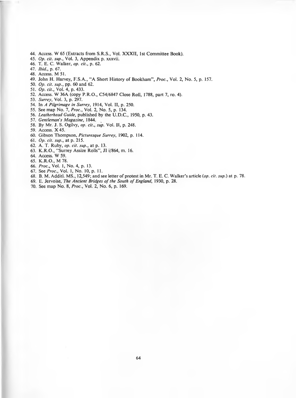- **44. Access. W 65 (Extracts from S.R.S., Vol. XXXII, 1st Committee Book).**
- **45.** *Op. cit. sup.,* **Vol. 3, Appendix p. xxxvii.**
- **46. T. E. C. Walker,** *op. cit.,* **p. 62.**
- **47.** *Ibid.,* **p. 67.**
- **48. Access. M 51.**
- **49. John H. Harvey, F.S.A., "A Short History of Bookham",** *Proc.,* **Vol. 2, No. 5, p. 157.**
- **50.** *Op. cit. sup.,* **pp. 60 and 62.**
- **51.** *Op. cit.,* **Vol. 4, p. 433.**
- **52. Access. W 36A (copy P.R.O., C54/6847 Close Roll, 1788, part 7, ro. 4).**
- **53.** *Surrey,* **Vol. 3, p. 297.**
- **54. In** *A Pilgrimage in Surrey,* **1914, Vol. II, p. 250.**
- **55. See map No. 7,** *Proc.,* **Vol. 2, No. 5, p. 134.**
- **56.** *Leatherhead Guide,* **published by the U.D.C., 1950, p. 43.**
- **57.** *Gentleman's Magazine,* **1844.**
- **58. By Mr. J. S. Ogilvy,** *op. cit., sup.* **Vol. II, p. 248.**
- **59. Access. X 45.**
- **60. Gibson Thompson,** *Picturesque Surrey,* **1902, p. 114.**
- **61.** *Op. cit. sup.,* **at p. 215.**
- **62. A. T. Ruby,** *op. cit. sup.,* **at p. 13.**
- **63. K.R.O., "Surrey Assize Rolls", JI i/864, m. 16.**
- **64. Access. W 59.**
- **65. K.R.O., M 78.**
- **66.** *Proc.,* **Vol. 1, No. 4, p. 13.**
- **67.** *See Proc.,* **Vol. 1, No. 10, p. 11.**
- **68. B. M. Additl. MS., 12,549; and see letter of protest in Mr. T. E. C. Walker's article** *(op. cit. sup.)* **at p. 78.**
- 69. E. Jervoise, *The Ancient Bridges of the South of England*, 1930, p. 28.
- **70. See map No. 8,** *Proc.,* **Vol. 2, No. 6, p. 169.**